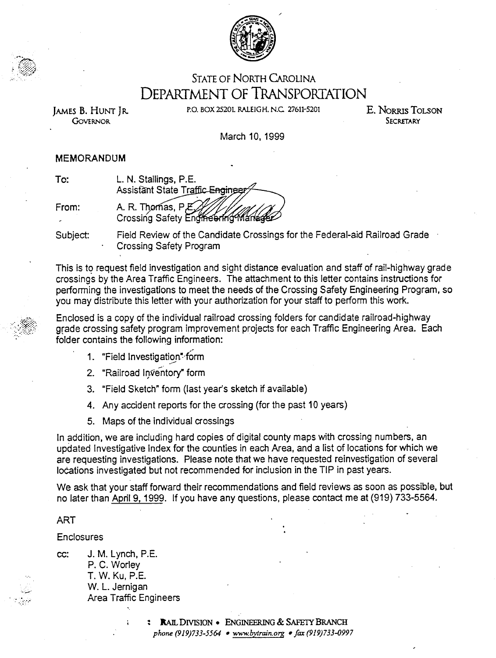

## STATE OF NORTH CAROLINA DEPARTMENT OF TRANSPORTATION

GoVERNOR SECRETARY

,  $\mathbb{C}$ ) .

JAMES B. HUNT JR. P.O. BOX 25201. RALEIGH. N.C. 27611-5201 E. NORRIS TOLSON

March 10, 1999

## MEMORANDUM

| To:   | L. N. Stallings, P.E.            |
|-------|----------------------------------|
|       | Assistant State Traffic Engineer |
|       |                                  |
| From: |                                  |
|       |                                  |

Subject: Field Review of the Candidate Crossings for the Federal-aid Railroad Grade Crossing Safety Program

This is to request field investigation and sight distance evaluation and staff of rail-highway grade crossings by the Area Traffic Engineers. The attachment to this letter contains instructions for performing the investigations to meet the needs of the Crossing Safety Engineering Program, so you may distribute this letter with your authorization for your staff to perform this work.

Enclosed is a copy of the individual railroad crossing folders for candidate railroad-highway grade crossing safety program improvement projects for each Traffic Engineering Area. Each folder contains the following information:

- 1. "Field Investigation" form
- 2. "Railroad Inventory" form
- 3. "Field Sketch" form (last year's sketch if available)
- 4. Any accident reports for the crossing (for the past 10 years)
- 5. Maps of the individual crossings

In addition, we are including hard copies of digital county maps with crossing numbers, an updated Investigative Index for the counties in each Area, and a list of locations for which we are requesting investigations. Please note that we have requested reinvestigation of several locations investigated but not recommended for inclusion in the TIP in past years.

We ask that your staff forward their recommendations and field reviews as soon as possible, but no later than April 9, 1999. If you have any questions, please contact me at (919) 733-5564.

## ART

','

Enclosures .

cc: J. M. Lynch, P.E. P. C. Worley T.W.Ku,P.E. W. L. Jernigan Area Traffic Engineers

> : RAIL DIVISION . ENGINEERING & SAFETY BRANCH phone (919)733-5564 . www.bytrain.org . fax (919)733-0997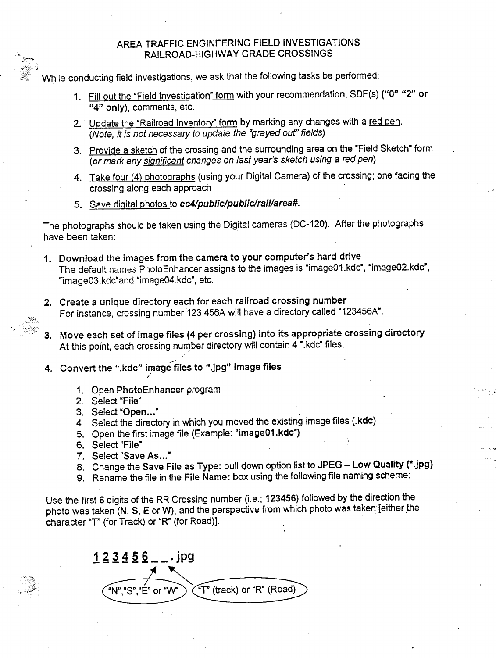## AREA TRAFFIC ENGINEERING FIELD INVESTIGATIONS RAILROAD-HIGHWAY GRADE CROSSINGS

; .!":;:;~;! While conducting field investigations, we ask that the following tasks be performed:

> 1. Fill out the "Field Investigation" form with your recommendation, SDF(s) ("0" "2" or "4" only), comments, etc.

,

- 2. Update the "Railroad Inventory" form by marking any changes with a red pen. (Note, it is not necessary to update the "grayed out" fields)
- 3. Provide a sketch of the crossing and the surrounding area on the "Field Sketch" form (or mark any sianificant changes on last year's sketch using a red pen)
- 4. Take four (4) photographs (using your Digital Camera) of the crossing; one facing the crossing along each approach
- 5. Save digital photos to cc4/public/public/rail/area#.

The photographs should be taken using the Digital cameras (DC-120). After the photographs have been taken:

- 1. Download the images from the camera to your computer's hard drive The default names PhotoEnhancer assigns to the images is "image01.kdc", "image02.kdc", "image03.kdc"and "image04.kdc", etc.
- 2. Create a unique directory each for each railroad crossing number For instance, crossing number 123 456A will have a directory called "123456A".
- ': :c:.:~:. 3. Move each set of image files (4 per crossing) into its appropriate crossing directory At this point, each crossing number directory will contain 4 ".kdc" files.
	- 4. Convert the ".kdc" image files to ".jpg" image files ,
		- 1. Open PhotoEnhancer program<br>2. Select "File"
		-

.'..,."

,. '.'

- 3. Select "Open..."
- 4. Select the directory in which you moved the existing image files (.kdc)
- 5. Open the first image file (Example: "image01.kdc")
- 
- 6. Select "File"<br>7. Select "Save As..."
- 8. Change the Save File as Type: pull down option list to JPEG Low Quality (\*.jpg)

,

9. Rename the file in the File Name: box using the following file naming scheme:

Use the first 6 digits of the RR Crossing number (i.e.; 123456) followed by the direction the photo was taken (N, S, E or W), and the perspective from which photo was taken [either the character "T" (for Track) or "R" (for Road)].